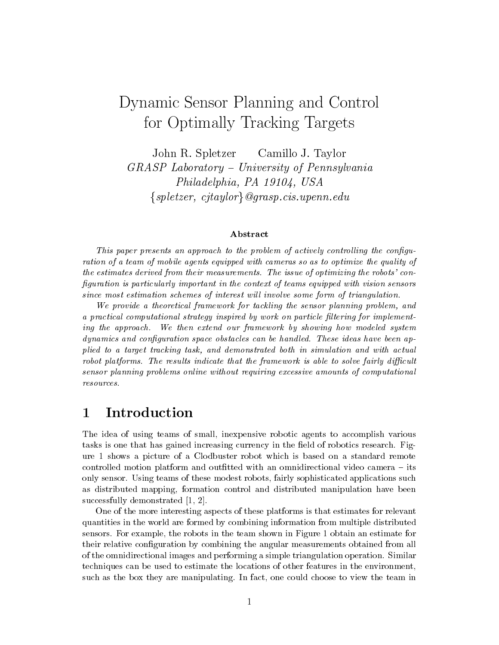# Dynamic Sensor Planning and Control for Optimally Tracking Targets

John R. Spletzer Camillo J. Taylor  $GRASP$  Laboratory - University of Pennsylvania Philadelphia, PA 19104, USA  $\{spletzer, cjtaylor\}$ @grasp.cis.upenn.edu

This paper presents an approach to the problem of actively controlling the configuration of a team of mobile agents equipped with cameras so as to optimize the quality of the estimates derived from their measurements. The issue of optimizing the robots' con figuration is particularly important in the context of teams equipped with vision sensors since most estimation schemes of interest will involve some form of triangulation.

We provide a theoretical framework for tackling the sensor planning problem, and a practical computational strategy inspired by work on particle ltering for implementing the approach. We then extend our framework by showing how modeled system dynamics and configuration space obstacles can be handled. These ideas have been applied to a target tracking task, and demonstrated both in simulation and with actual robot platforms. The results indicate that the framework is able to solve fairly difficult sensor planning problems online without requiring excessive amounts of computational resources.

## 1 Introduction

The idea of using teams of small, inexpensive robotic agents to accomplish various tasks is one that has gained increasing currency in the field of robotics research. Figure 1 shows a picture of a Clodbuster robot which isbased on a standard remote controlled motion platform and outfitted with an omnidirectional video camera – its only sensor. Using teams of these modest robots, fairly sophisticated applications such as distributed mapping, formation control and distributed manipulation have been successfully demonstrated [1, 2].

One of the more interesting aspects of these platforms is that estimates for relevant quantities in the world are formed by combining information from multiple distributed sensors. For example, the robots in the team shown in Figure 1 obtain an estimate for their relative conguration by combining the angular measurements obtained from all of the omnidirectional images and performing a simple triangulation operation. Similar techniques can be used to estimate the locations of other features in the environment, such as the box they are manipulating. In fact, one could choose to view the team in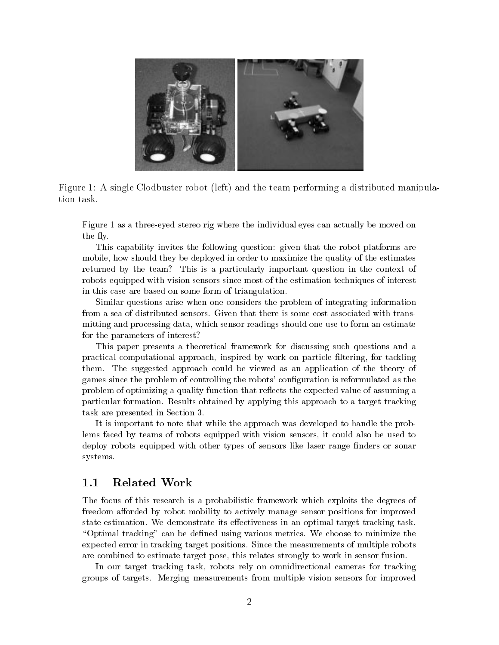

Figure 1: A single Clodbuster robot (left) and the team performing a distributed manipulation task.

Figure 1 as a three-eyed stereo rig where the individual eyes can actually be moved on the fly.

This capability invites the following question: given that the robot platforms are mobile, how should they be deployed in order to maximize the quality of the estimates returned by the team? This is a particularly important question in the context of robots equipped with vision sensors since most of the estimation techniques of interest in this case are based on some form of triangulation.

Similar questions arise when one considers the problem of integrating information from a sea of distributed sensors. Given that there is some cost associated with transmitting and processing data, which sensor readings should one use to form an estimate for the parameters of interest?

This paper presents a theoretical framework for discussing such questions and a practical computational approach, inspired by work on particle ltering, for tackling them. The suggested approach could be viewed as an application of the theory of games since the problem of controlling the robots' conguration is reformulated as the problem of optimizing a quality function that reflects the expected value of assuming a particular formation. Results obtained by applying this approach to a target tracking task are presented in Section 3.

It is important to note that while the approach was developed to handle the problems faced by teams of robots equipped with vision sensors, it could also be used to deploy robots equipped with other types of sensors like laser range finders or sonar systems.

### 1.1 Related Work

The focus of this research is a probabilistic framework which exploits the degrees of freedom afforded by robot mobility to actively manage sensor positions for improved state estimation. We demonstrate its effectiveness in an optimal target tracking task. "Optimal tracking" can be defined using various metrics. We choose to minimize the expected error in tracking target positions. Since the measurements of multiple robots are combined to estimate target pose, this relates strongly to work in sensor fusion.

In our target tracking task, robots rely on omnidirectional cameras for tracking groups of targets. Merging measurements from multiple vision sensors for improved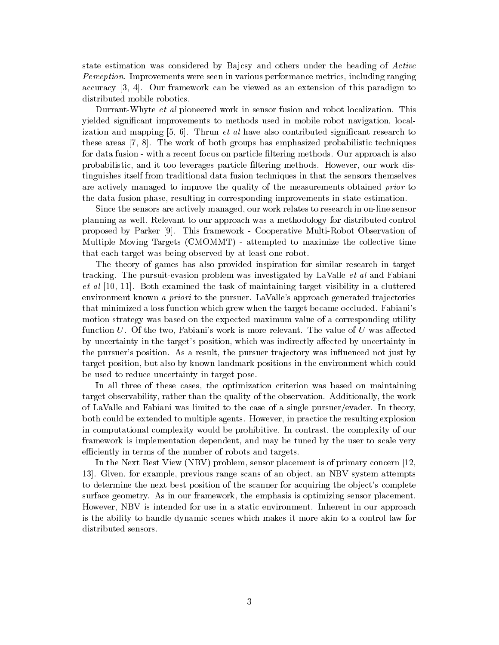state estimation was considered by Bajcsy and others under the heading of Active Perception. Improvements were seen in various performance metrics, including ranging accuracy [3, 4]. Our framework can be viewed as an extension of this paradigm to distributed mobile robotics.

Durrant-Whyte et al pioneered work in sensor fusion and robot localization. This yielded signicant improvements to methods used in mobile robot navigation, localization and mapping  $[5, 6]$ . Thrun *et al* have also contributed significant research to these areas [7, 8]. The work of both groups has emphasized probabilistic techniques for data fusion - with a recent focus on particle filtering methods. Our approach is also probabilistic, and it too leverages particle ltering methods. However, our work distinguishes itself from traditional data fusion techniques in that the sensors themselves are actively managed to improve the quality of the measurements obtained prior to the data fusion phase, resulting in corresponding improvements in state estimation.

Since the sensors are actively managed, our work relates to research in on-line sensor planning as well. Relevant to our approach was a methodology for distributed control proposed by Parker [9]. This framework - Cooperative Multi-Robot Observation of Multiple Moving Targets (CMOMMT) - attempted to maximize the collective time that each target was being observed by at least one robot.

The theory of games has also provided inspiration for similar research in target tracking. The pursuit-evasion problem was investigated by LaValle et al and Fabiani  $et \ al \ [10, 11]$ . Both examined the task of maintaining target visibility in a cluttered environment known a priori to the pursuer. LaValle's approach generated trajectories that minimized a loss function which grew when the target became occluded. Fabiani's motion strategy was based on the expected maximum value of a corresponding utility function U. Of the two, Fabiani's work is more relevant. The value of U was affected by uncertainty in the target's position, which was indirectly affected by uncertainty in the pursuer's position. As a result, the pursuer trajectory was influenced not just by target position, but also by known landmark positions in the environment which could be used to reduce uncertainty in target pose.

In all three of these cases, the optimization criterion was based on maintaining target observability, rather than the quality of the observation. Additionally, the work of LaValle and Fabiani was limited to the case of a single pursuer/evader. In theory, both could be extended to multiple agents. However, in practice the resulting explosion in computational complexity would be prohibitive. In contrast, the complexity of our framework is implementation dependent, and may be tuned by the user to scale very efficiently in terms of the number of robots and targets.

In the Next Best View (NBV) problem, sensor placement is of primary concern [12, 13. Given, for example, previous range scans of an object, an NBV system attempts to determine the next best position of the scanner for acquiring the object's complete surface geometry. As in our framework, the emphasis is optimizing sensor placement. However, NBV is intended for use in a static environment. Inherent in our approach is the ability to handle dynamic scenes which makes it more akin to a control law for distributed sensors.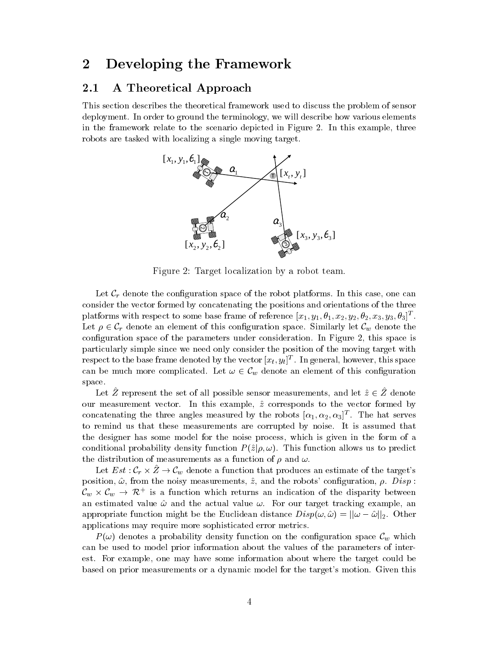# 2 Developing the Framework

### 2.1 A Theoretical Approach

This section describes the theoretical framework used to discuss the problem of sensor deployment. In order to ground the terminology, we will describe how various elements in the framework relate to the scenario depicted in Figure 2.In this example, three robots are tasked with localizing a single moving target.



Figure 2: Target localization by a robot team.

Let  $\mathcal{C}_r$  denote the configuration space of the robot platforms. In this case, one can consider the vector formed by concatenating the positions and orientations of the three platforms with respect to some base frame of reference  $[x_1, y_1, \theta_1, x_2, y_2, \theta_2, x_3, y_3, \theta_3]^T$ . Let  $\rho \in \mathcal{C}_r$  denote an element of this configuration space. Similarly let  $\mathcal{C}_w$  denote the configuration space of the parameters under consideration. In Figure 2, this space is particularly simple since we need only consider the position of the moving target with respect to the base frame denoted by the vector  $|x_t , y_t |^\tau$  . In general, however, this space can be much more complicated. Let  $\omega \in \mathcal{C}_w$  denote an element of this configuration space.

Let  $Z$  represent the set of all possible sensor measurements, and let  $z \in Z$  denote our measurement vector. In this example,  $\hat{z}$  corresponds to the vector formed by concatenating the three angles measured by the robots  $\alpha_1,\alpha_2,\alpha_3$  . The hat serves to remind us that these measurements are corrupted by noise. It is assumed that the designer has some model for the noise process, which is given in the form of a conditional probability density function  $P(\hat{z}|\rho,\omega)$ . This function allows us to predict the distribution of measurements as a function of  $\rho$  and  $\omega$ .

Let  $Est: \mathcal{C}_r \times Z \rightarrow \mathcal{C}_w$  denote a function that produces an estimate of the target's position,  $\hat{\omega}$ , from the noisy measurements,  $\hat{z}$ , and the robots' configuration,  $\rho$ . Disp:  $\mathcal{L}_w$   $\times$   $\mathcal{L}_w$   $\rightarrow$   $\times$  is a function which returns an indication of the disparity between an estimated value  $\hat{\omega}$  and the actual value  $\omega$ . For our target tracking example, an appropriate function might be the Euclidean distance  $Disp(\omega, \hat{\omega}) = ||\omega - \hat{\omega}||_2$ . Other applications may require more sophisticated error metrics.

 $P$  (ii) denotes a probability denotes  $f$  function on the contraction space  $\sim w$  which is  $w$ can be used to model prior information about the values of the parameters of interest. For example, one may have some information about where the target could be based on prior measurements or a dynamic model for the target's motion. Given this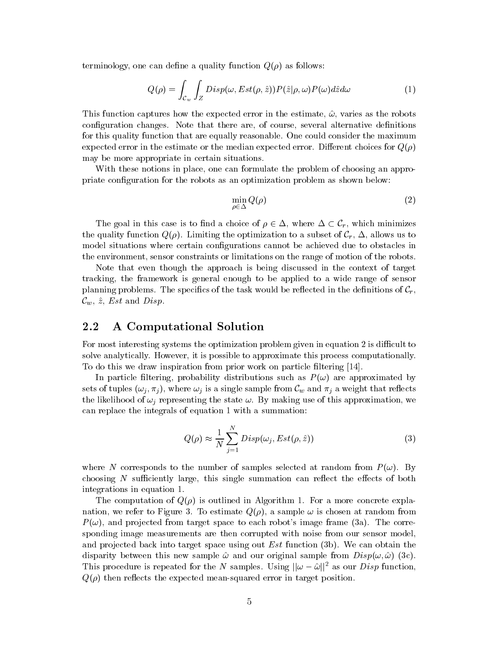terminology, one can define a quality function  $Q(\rho)$  as follows:

$$
Q(\rho) = \int_{\mathcal{C}_{w}} \int_{Z} Disp(\omega, Est(\rho, \hat{z})) P(\hat{z} | \rho, \omega) P(\omega) d\hat{z} d\omega \tag{1}
$$

This function captures how the expected error in the estimate,  $\hat{\omega}$ , varies as the robots configuration changes. Note that there are, of course, several alternative definitions for this quality function that are equally reasonable. One could consider the maximum expected error in the estimate or the median expected error. Different choices for  $Q(\rho)$ may be more appropriate in certain situations.

With these notions in place, one can formulate the problem of choosing an appropriate conguration for the robots as an optimization problem as shown below:

$$
\min_{\rho \in \Delta} Q(\rho) \tag{2}
$$

The goal in this case is to find a choice of  $\rho \in \Delta$ , where  $\Delta \subset \mathcal{C}_r$ , which minimizes the quality function  $Q(\rho)$ . Limiting the optimization to a subset of  $\mathcal{C}_r$ ,  $\Delta$ , allows us to model situations where certain congurations cannot be achieved due to obstacles in the environment, sensor constraints or limitations on the range of motion of the robots.

Note that even though the approach is being discussed in the context of target tracking, the framework is general enough to be applied to a wide range of sensor planning problems. The specifics of the task would be reflected in the definitions of  $\mathcal{C}_r$ ,  $\mathcal{C}_w, \hat{z}, \text{Est} \text{ and } \text{Disp}.$ 

### 2.2 A Computational Solution

For most interesting systems the optimization problem given in equation 2 is difficult to solve analytically. However, it is possible to approximate this process computationally. To do this we draw inspiration from prior work on particle filtering [14].

In particle filtering, probability distributions such as  $P(\omega)$  are approximated by sets of tuples  $(\omega_j, \pi_j)$ , where  $\omega_j$  is a single sample from  $\mathcal{C}_w$  and  $\pi_j$  a weight that reflects the likelihood of  $\omega_i$  representing the state  $\omega$ . By making use of this approximation, we can replace the integrals of equation 1 with a summation:

$$
Q(\rho) \approx \frac{1}{N} \sum_{j=1}^{N} Disp(\omega_j, Est(\rho, \hat{z}))
$$
\n(3)

where N corresponds to the number of samples selected at random from  $P(\omega)$ . By choosing  $N$  sufficiently large, this single summation can reflect the effects of both integrations in equation 1.

The computation of  $Q(\rho)$  is outlined in Algorithm 1. For a more concrete explanation, we refer to Figure 3. To estimate  $Q(\rho)$ , a sample  $\omega$  is chosen at random from  $P(\omega)$ , and projected from target space to each robot's image frame (3a). The corresponding image measurements are then corrupted with noise from our sensor model, and projected back into target space using out  $Est$  function (3b). We can obtain the disparity between this new sample  $\hat{\omega}$  and our original sample from  $Disp(\omega, \hat{\omega})$  (3c). This procedure is repeated for the N samples. Using  $||\omega - \hat{\omega}||^2$  as our Disp function,  $Q(\rho)$  then reflects the expected mean-squared error in target position.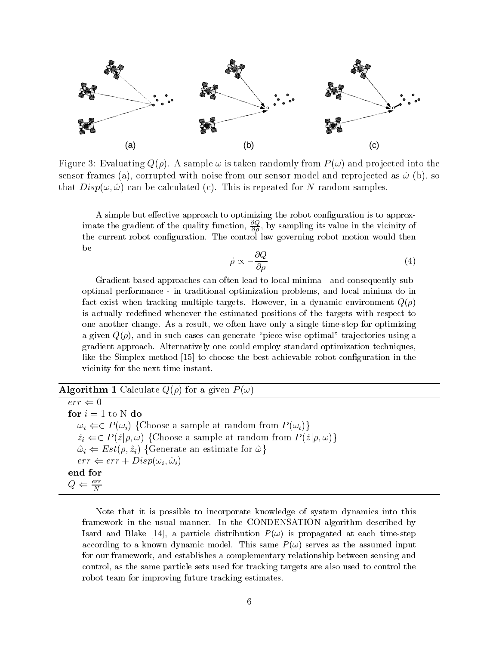

Figure 3: Evaluating  $Q(\rho)$ . A sample  $\omega$  is taken randomly from  $P(\omega)$  and projected into the sensor frames (a), corrupted with noise from our sensor model and reprojected as  $\hat{\omega}$  (b), so that  $Disp(\omega, \hat{\omega})$  can be calculated (c). This is repeated for N random samples.

A simple but effective approach to optimizing the robot configuration is to approximate the gradient of the quality function,  $\frac{\partial}{\partial \rho}$ , by sampling its value in the vicinity of  $\tau$  current robot consequences. The control law governing robot motion would then  $\tau$ be

$$
\dot{\rho} \propto -\frac{\partial Q}{\partial \rho} \tag{4}
$$

Gradient based approaches can often lead to local minima - and consequently suboptimal performance - in traditional optimization problems, and local minima do in fact exist when tracking multiple targets. However, in a dynamic environment  $Q(\rho)$ is actually redened whenever the estimated positions of the targets with respect to one another change. As a result, we often have only a single time-step for optimizing a given  $Q(\rho)$ , and in such cases can generate "piece-wise optimal" trajectories using a gradient approach. Alternatively one could employ standard optimization techniques, like the Simplex method [15] to choose the best achievable robot conguration in the vicinity for the next time instant.

**Algorithm 1** Calculate  $Q(\rho)$  for a given  $P(\omega)$ 

 $err \Leftarrow 0$ for  $i = 1$  to N do  $\omega_i \leftarrow \in P(\omega_i)$  {Choose a sample at random from  $P(\omega_i)$ }  $\hat{z}_i \Leftarrow \in P (\hat{z} | \rho, \omega)$  {Choose a sample at random from  $P (\hat{z} | \rho, \omega)$ }  $\hat{\omega}_i \leftarrow Est(\rho, \hat{z}_i)$  {Generate an estimate for  $\hat{\omega}$ }  $err \Leftarrow err + Disp(\omega_i, \hat{\omega}_i)$ end for  $Q \Leftarrow \frac{cH}{N}$ 

Note that it is possible to incorporate knowledge of system dynamics into this framework in the usual manner. In the CONDENSATION algorithm described by Isard and Blake [14], a particle distribution  $P(\omega)$  is propagated at each time-step according to a known dynamic model. This same  $P(\omega)$  serves as the assumed input for our framework, and establishes a complementary relationship between sensing and control, as the same particle sets used for tracking targets are also used to control the robot team for improving future tracking estimates.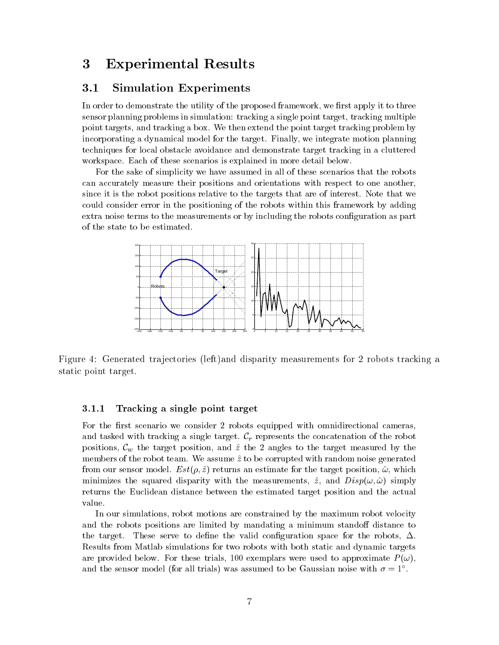#### **Experimental Results** 3

### 3.1 Simulation Experiments

In order to demonstrate the utility of the proposed framework, we first apply it to three sensor planning problems in simulation: tracking a single point target, tracking multiple point targets, and tracking a box. We then extend the point target tracking problem by incorporating a dynamical model for the target. Finally, we integrate motion planning techniques for local obstacle avoidance and demonstrate target tracking in a cluttered workspace. Each of these scenarios is explained in more detail below.

For the sake of simplicity we have assumed in all of these scenarios that the robots can accurately measure their positions and orientations with respect to one another, since it is the robot positions relative to the targets that are of interest. Note that we could consider error in the positioning of the robots within this framework by adding extra noise terms to the measurements or by including the robots conguration as part of the state to be estimated.



Figure 4: Generated trajectories (left)and disparity measurements for 2 robots tracking a static point target.

#### $3.1.1$ Tracking a single point target

For the first scenario we consider 2 robots equipped with omnidirectional cameras, and tasked with tracking a single target.  $\mathcal{C}_r$  represents the concatenation of the robot positions,  $\mathcal{C}_w$  the target position, and  $\hat{z}$  the 2 angles to the target measured by the members of the robot team. We assume  $\hat{z}$  to be corrupted with random noise generated from our sensor model.  $Est(\rho, \hat{z})$  returns an estimate for the target position,  $\hat{\omega}$ , which minimizes the squared disparity with the measurements,  $\hat{z}$ , and  $Disp(\omega, \hat{\omega})$  simply returns the Euclidean distance between the estimated target position and the actual

In our simulations, robot motions are constrained by the maximum robot velocity and the robots positions are limited by mandating a minimum standoff distance to the target. These serve to define the valid configuration space for the robots,  $\Delta$ . Results from Matlab simulations for two robots with both static and dynamic targets are provided below. For these trials, 100 exemplars were used to approximate  $P(\omega)$ , and the sensor model (for all trials) was assumed to be Gaussian hoise with  $\sigma = 1$  .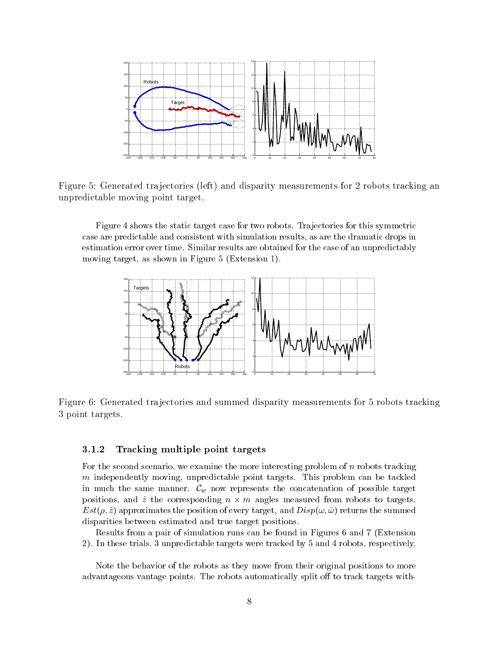

Figure 5: Generated trajectories (left) and disparity measurements for 2 robots tracking an unpredictable moving point target.

Figure 4 shows the static target case for two robots. Tra jectories for this symmetric case are predictable and consistent with simulation results, as are the dramatic drops in estimation error over time. Similar results are obtained for the case of an unpredictably moving target, as shown in Figure 5 (Extension 1).



Figure 6: Generated trajectories and summed disparity measurements for 5 robots tracking 3 point targets.

#### 3.1.2 Tracking multiple point targets

For the second scenario, we examine the more interesting problem of  $n$  robots tracking m independently moving, unpredictable point targets. This problem can be tackled in much the same manner.  $\mathcal{C}_w$  now represents the concatenation of possible target positions, and z^ the corresponding <sup>n</sup> - <sup>m</sup> angles measured from robotsto targets.  $Est(\rho, \hat{z})$  approximates the position of every target, and  $Disp(w, \hat{w})$  returns the summed disparities between estimated and true target positions.

Results from a pair of simulation runs can be found in Figures 6 and 7 (Extension 2). In these trials, 3 unpredictable targets were tracked by 5 and 4 robots, respectively.

Note the behavior of the robots as they move from their original positions to more advantageous vantage points. The robots automatically split off to track targets with-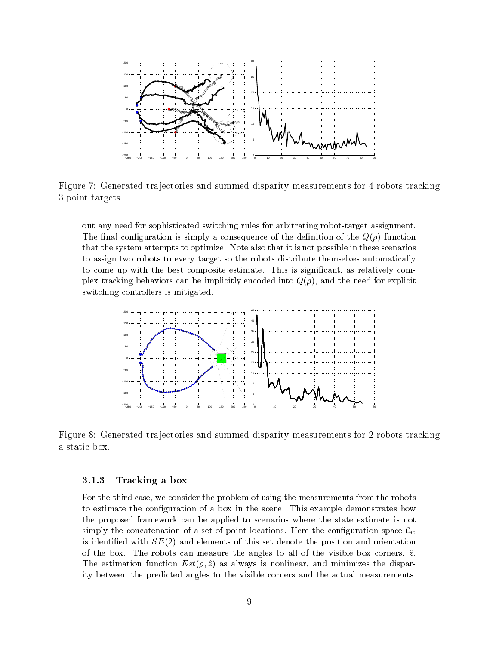

Figure 7: Generated trajectories and summed disparity measurements for 4 robots tracking 3 point targets.

out any need for sophisticated switching rules for arbitrating robot-target assignment. The final configuration is simply a consequence of the definition of the  $Q(\rho)$  function that the system attempts to optimize. Note also that it is not possible in these scenarios to assign two robots to every target so the robots distribute themselves automatically to come up with the best composite estimate. This is signicant, as relatively complex tracking behaviors can be implicitly encoded into  $Q(\rho)$ , and the need for explicit switching controllers is mitigated.



Figure 8: Generated trajectories and summed disparity measurements for 2 robots tracking a static box.

#### 3.1.3 Tracking a box

For the third case, we consider the problem of using the measurements from the robots to estimate the conguration of a box in the scene. This example demonstrates how the proposed framework can be applied to scenarios where the state estimate is not simply the concatenation of a set of point locations. Here the configuration space  $\mathcal{C}_w$ is identified with  $SE(2)$  and elements of this set denote the position and orientation of the box. The robots can measure the angles to all of the visible box corners,  $\hat{z}$ . The estimation function  $Est(\rho, \hat{z})$  as always is nonlinear, and minimizes the disparity between the predicted angles to the visible corners and the actual measurements.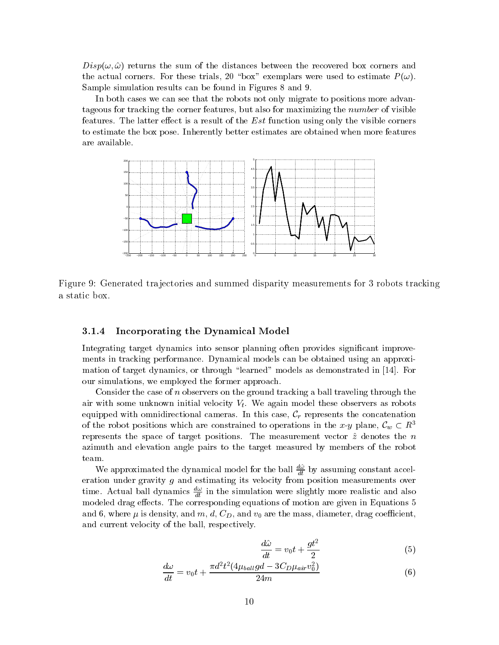$Disp(\omega, \hat{\omega})$  returns the sum of the distances between the recovered box corners and the actual corners. For these trials, 20 "box" exemplars were used to estimate  $P(\omega)$ . Sample simulation results can be found in Figures 8 and 9.

In both cases we can see that the robots not only migrate to positions more advantageous for tracking the corner features, but also for maximizing the number of visible features. The latter effect is a result of the  $Est$  function using only the visible corners to estimate the box pose. Inherently better estimates are obtained when more features are available.



Figure 9: Generated trajectories and summed disparity measurements for 3 robots tracking a static box.

#### 3.1.4 Incorporating the Dynamical Model

Integrating target dynamics into sensor planning often provides signicant improvements in tracking performance. Dynamical models can be obtained using an approximation of target dynamics, or through "learned" models as demonstrated in [14]. For our simulations, we employed the former approach.

Consider the case of n observers on the ground tracking a ball traveling through the air with some unknown initial velocity  $V_t$ . We again model these observers as robots equipped with omnidirectional cameras. In this case,  $\mathcal{C}_r$  represents the concatenation of the robot positions which are constrained to operations in the x-y plane,  $\mathcal{C}_w \subset R^3$ represents the space of target positions. The measurement vector  $\hat{z}$  denotes the n azimuth and elevation angle pairs to the target measured by members of the robot team.

We approximated the dynamical model for the ball  $\frac{d\hat{\omega}}{dt}$  by assuming constant acceleration under gravity <sup>g</sup> and estimating its velocity from position measurements over time. Actual ball dynamics  $\frac{d}{dt}$  in the simulation were slightly more realistic and also modeled drag effects. The corresponding equations of motion are given in Equations 5 and 6, where  $\mu$  is density, and  $m$ , d,  $C_D$ , and  $v_0$  are the mass, diameter, drag coefficient, and current velocity of the ball, respectively.

$$
\frac{d\hat{\omega}}{dt} = v_0 t + \frac{gt^2}{2} \tag{5}
$$

$$
\frac{d\omega}{dt} = v_0 t + \frac{\pi d^2 t^2 (4\mu_{ball} gd - 3C_D \mu_{air} v_0^2)}{24m} \tag{6}
$$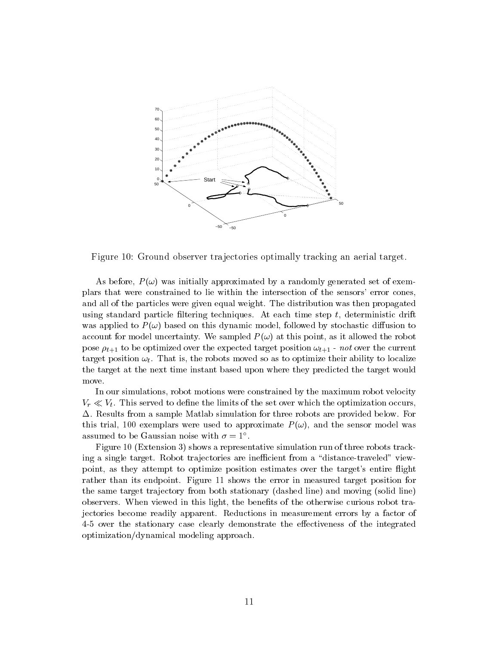

Figure 10: Ground observer tra jectories optimally tracking an aerial target.

As before,  $P(\omega)$  was initially approximated by a randomly generated set of exemplars that were constrained to lie within the intersection of the sensors' error cones, and all of the particles were given equal weight. The distribution was then propagated using standard particle filtering techniques. At each time step  $t$ , deterministic drift was applied to  $P(\omega)$  based on this dynamic model, followed by stochastic diffusion to account for model uncertainty. We sampled  $P(\omega)$  at this point, as it allowed the robot pose  $\rho_{t+1}$  to be optimized over the expected target position  $\omega_{t+1}$  - not over the current target position  $\omega_t$ . That is, the robots moved so as to optimize their ability to localize the target at the next time instant based upon where they predicted the target would move.

In our simulations, robot motions were constrained by the maximum robot velocity  $V_r \ll V_t$ . This served to define the limits of the set over which the optimization occurs,  $\Delta$ . Results from a sample Matlab simulation for three robots are provided below. For this trial, 100 exemplars were used to approximate  $P(\omega)$ , and the sensor model was assumed to be Gaussian noise with  $\sigma = 1^{\circ}$ .

Figure 10 (Extension 3) shows a representative simulation run of three robots tracking a single target. Robot trajectories are inefficient from a "distance-traveled" viewpoint, as they attempt to optimize position estimates over the target's entire flight rather than its endpoint. Figure 11 shows the error in measured target position for the same target trajectory from both stationary (dashed line) and moving (solid line) observers. When viewed in this light, the benefits of the otherwise curious robot trajectories become readily apparent. Reductions in measurement errors by a factor of 4-5 over the stationary case clearly demonstrate the effectiveness of the integrated optimization/dynamical modeling approach.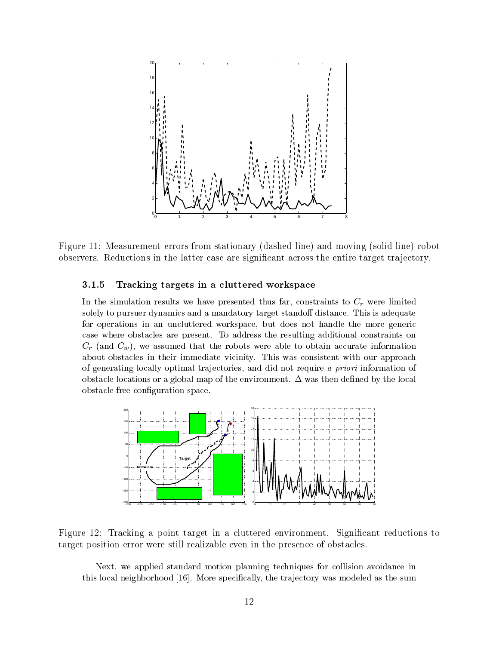

Figure 11: Measurement errors from stationary (dashed line) and moving (solid line) robot observers. Reductions in the latter case are signicant across the entire target tra jectory.

#### 3.1.5 Tracking targets in a cluttered workspace

In the simulation results we have presented thus far, constraints to  $C_r$  were limited solely to pursuer dynamics and a mandatory target standoff distance. This is adequate for operations in an uncluttered workspace, but does not handle the more generic case where obstacles are present. To address the resulting additional constraints on  $C_r$  (and  $C_w$ ), we assumed that the robots were able to obtain accurate information about obstacles in their immediate vicinity. This was consistent with our approach of generating locally optimal trajectories, and did not require a priori information of obstacle locations or a global map of the environment.  $\Delta$  was then defined by the local obstacle-free configuration space.



Figure 12: Tracking a point target in a cluttered environment. Significant reductions to target position error were still realizable even in the presence of obstacles.

Next, we applied standard motion planning techniques for collision avoidance in this local neighborhood [16]. More specifically, the trajectory was modeled as the sum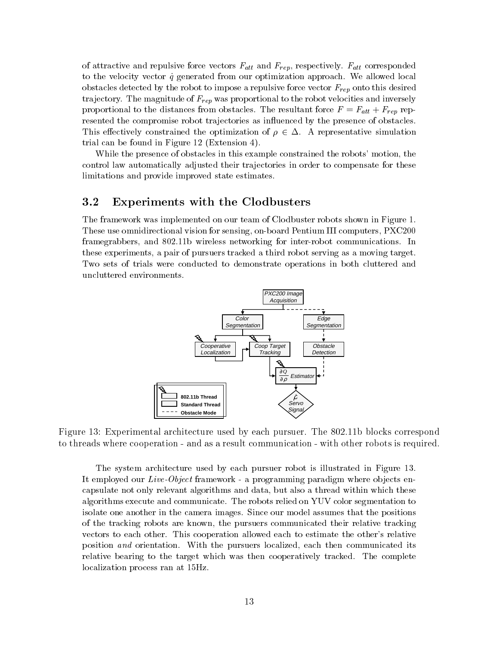of attractive and repulsive force vectors  $F_{att}$  and  $F_{rep}$ , respectively.  $F_{att}$  corresponded to the velocity vector  $\dot{q}$  generated from our optimization approach. We allowed local obstacles detected by the robot to impose a repulsive force vector  $F_{rep}$  onto this desired trajectory. The magnitude of  $F_{rep}$  was proportional to the robot velocities and inversely proportional to the distances from obstacles. The resultant force  $F = F_{att} + F_{rep}$  represented the compromise robot trajectories as influenced by the presence of obstacles. This effectively constrained the optimization of  $\rho \in \Delta$ . A representative simulation trial can be found in Figure 12 (Extension 4).

While the presence of obstacles in this example constrained the robots' motion, the control law automatically adjusted their trajectories in order to compensate for these limitations and provide improved state estimates.

#### 3.2 Experiments with the Clodbusters

The framework was implemented on our team of Clodbuster robots shown in Figure 1. These use omnidirectional vision for sensing, on-board Pentium III computers, PXC200 framegrabbers, and 802.11b wireless networking for inter-robot communications. In these experiments, a pair of pursuers tracked a third robot serving as a moving target. Two sets of trials were conducted to demonstrate operations in both cluttered and uncluttered environments.



Figure 13: Experimental architecture used by each pursuer. The 802.11b blocks correspond to threads where cooperation - and as a result communication - with other robots is required.

The system architecture used by each pursuer robot is illustrated in Figure 13. It employed our *Live-Object* framework - a programming paradigm where objects encapsulate not only relevant algorithms and data, but also a thread within which these algorithms execute and communicate. The robots relied on YUV color segmentation to isolate one another in the camera images. Since our model assumes that the positions of the tracking robots are known, the pursuers communicated their relative tracking vectors to each other. This cooperation allowed each to estimate the other's relative position and orientation. With the pursuers localized, each then communicated its relative bearing to the target which was then cooperatively tracked. The complete localization process ran at 15Hz.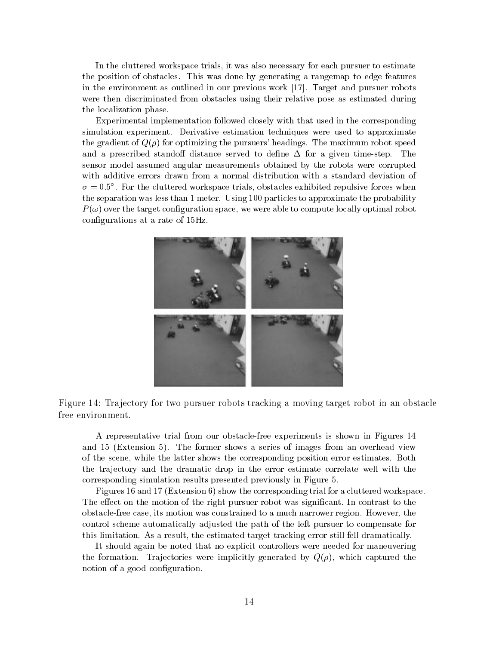In the cluttered workspace trials, it was also necessary for each pursuer to estimate the position of obstacles. This was done by generating a rangemap to edge features in the environment as outlined in our previous work [17]. Target and pursuer robots were then discriminated from obstacles using their relative pose as estimated during the localization phase.

Experimental implementation followed closely with that used in the corresponding simulation experiment. Derivative estimation techniques were used to approximate the gradient of  $Q(\rho)$  for optimizing the pursuers' headings. The maximum robot speed and a prescribed standoff distance served to define  $\Delta$  for a given time-step. The sensor model assumed angular measurements obtained by the robots were corrupted with additive errors drawn from a normal distribution with a standard deviation of  $\sigma = 0.5$  . For the cluttered workspace trials, obstacles exhibited repulsive forces when the separation was less than 1 meter. Using 100 particles to approximate the probability P (!) over the target conguration space, we were able to compute locally optimal robot congurations at a rate of 15Hz.





A representative trial from our obstacle-free experiments is shown in Figures 14 and 15 (Extension 5). The former shows a series of images from an overhead view of the scene, while the latter shows the corresponding position error estimates. Both the tra jectory and the dramatic drop in the error estimate correlate well with the corresponding simulation results presented previously in Figure 5.

Figures 16 and 17 (Extension 6) show the corresponding trial for a cluttered workspace. The effect on the motion of the right pursuer robot was significant. In contrast to the obstacle-free case, its motion was constrained to a much narrower region. However, the control scheme automatically adjusted the path of the left pursuer to compensate for this limitation. As a result, the estimated target tracking error still fell dramatically.

It should again be noted that no explicit controllers were needed for maneuvering the formation. Trajectories were implicitly generated by  $Q(\rho)$ , which captured the notion of a good configuration.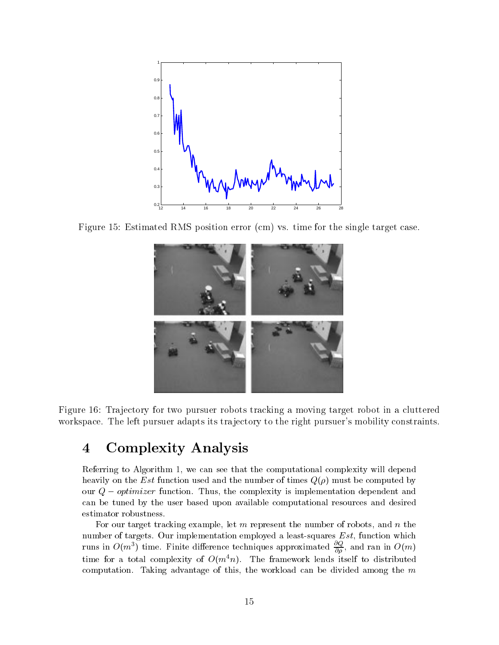

Figure 15: Estimated RMS position error (cm) vs. time for the single target case.



Figure 16: Tra jectory for two pursuer robots tracking a moving target robot in a cluttered workspace. The left pursuer adapts its tra jectory to the right pursuer's mobility constraints.

# 4 Complexity Analysis

Referring to Algorithm 1, we can see that the computational complexity will depend heavily on the Est function used and the number of times  $Q(\rho)$  must be computed by our  $Q$  – *optimizer* function. Thus, the complexity is implementation dependent and can be tuned by the user based upon available computational resources and desired estimator robustness.

For our target tracking example, let  $m$  represent the number of robots, and  $n$  the number of targets. Our implementation employed a least-squares Est, function which runs in  $O(m^3)$  time. Finite difference techniques approximated  $\frac{\partial}{\partial \rho}$ , and ran in  $O(m)$ time for a total complexity of  $O(m^4n)$ . The framework lends itself to distributed computation. Taking advantage of this, the workload can be divided among the <sup>m</sup>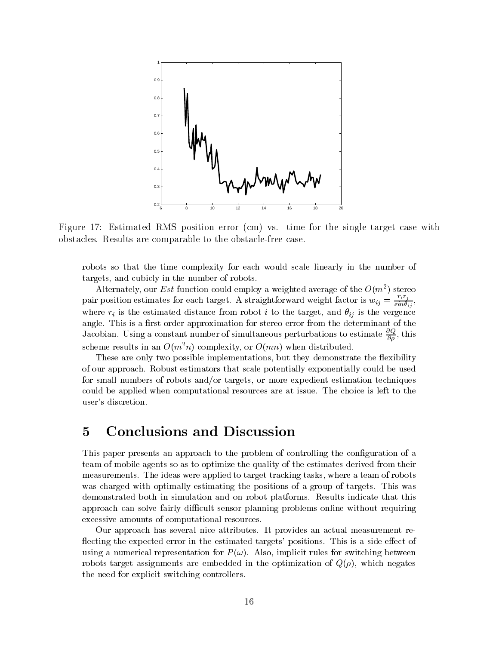

Figure 17: Estimated RMS position error (cm) vs. time for the single target case with obstacles. Results are comparable to the obstacle-free case.

robots so that the time complexity for each would scale linearly in the number of targets, and cubicly in the number of robots.

Alternately, our  $Est$  function could employ a weighted average of the  $O(m^2)$  stereo  $\overline{\phantom{a}}$ pair position estimates for each target. A straightforward weight factor is  $w_{ij} = \frac{i}{sin\theta_{ij}},$ where  $r_i$  is the estimated distance from robot i to the target, and  $\theta_{ij}$  is the vergence angle. This is a first-order approximation for stereo error from the determinant of the Jacobian. Using a constant number of simultaneous perturbations to estimate  $\frac{1}{\partial \theta},$  this scheme results in an  $O(m^2n)$  complexity, or  $O(mn)$  when distributed.

These are only two possible implementations, but they demonstrate the flexibility of our approach. Robust estimators that scale potentially exponentially could be used for small numbers of robots and/or targets, or more expedient estimation techniques could be applied when computational resources are at issue. The choice is left to the user's discretion.

#### 5 Conclusions and Discussion  $\overline{5}$

This paper presents an approach to the problem of controlling the conguration of a team of mobile agents so as to optimize the quality of the estimates derived from their measurements. The ideas were applied to target tracking tasks, where a team of robots was charged with optimally estimating the positions of a group of targets. This was demonstrated both in simulation and on robot platforms. Results indicate that this approach can solve fairly difficult sensor planning problems online without requiring excessive amounts of computational resources.

Our approach has several nice attributes. It provides an actual measurement re flecting the expected error in the estimated targets' positions. This is a side-effect of using a numerical representation for  $P(\omega)$ . Also, implicit rules for switching between robots-target assignments are embedded in the optimization of  $Q(\rho)$ , which negates the need for explicit switching controllers.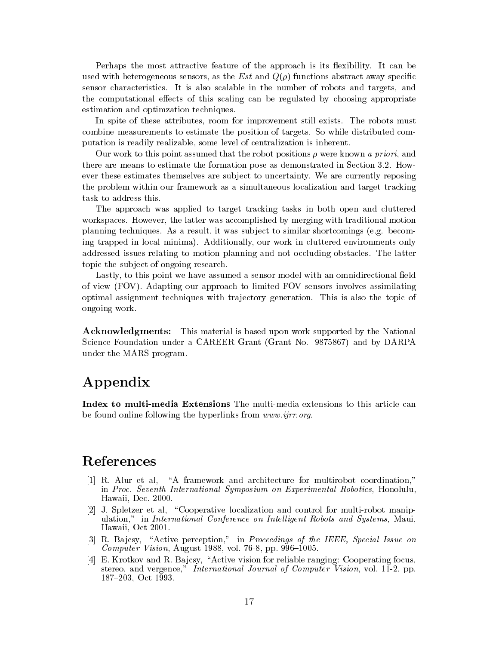Perhaps the most attractive feature of the approach is its flexibility. It can be used with heterogeneous sensors, as the Est and  $Q(\rho)$  functions abstract away specific sensor characteristics. It is also scalable in the number of robots and targets, and the computational effects of this scaling can be regulated by choosing appropriate estimation and optimzation techniques.

In spite of these attributes, room for improvement still exists. The robots must combine measurements to estimate the position of targets. So while distributed computation is readily realizable, some level of centralization is inherent.

Our work to this point assumed that the robot positions  $\rho$  were known a priori, and there are means to estimate the formation pose as demonstrated in Section 3.2. However these estimates themselves are subject to uncertainty. We are currently reposing the problem within our framework as a simultaneous localization and target tracking task to address this.

The approach was applied to target tracking tasks in both open and cluttered workspaces. However, the latter was accomplished by merging with traditional motion planning techniques. As a result, it was sub ject to similar shortcomings (e.g. becoming trapped in local minima). Additionally, our work in cluttered environments only addressed issues relating to motion planning and not occluding obstacles. The latter topic the subject of ongoing research.

Lastly, to this point we have assumed a sensor model with an omnidirectional field of view (FOV). Adapting our approach to limited FOV sensors involves assimilating optimal assignment techniques with tra jectory generation. This is also the topic of ongoing work.

Acknowledgments: This material is based upon work supported by the National Science Foundation under a CAREER Grant (Grant No. 9875867) and by DARPA under the MARS program.

## Appendix

Index to multi-media Extensions The multi-media extensions to this article can be found online following the hyperlinks from www.ijrr.org.

### References

- [1] R. Alur et al, \A framework and architecture for multirobot coordination," in Proc. Seventh International Symposium on Experimental Robotics, Honolulu, Hawaii, Dec. 2000.
- [2] J. Spletzer et al, \Cooperative localization and control for multi-robot manipulation," in International Conference on Intelligent Robots and Systems, Maui, Hawaii, Oct 2001.
- [3] R. Bajcsy, "Active perception," in Proceedings of the IEEE, Special Issue on *Computer Vision, August 1988, vol. 76-8, pp. 996-1005.*
- [4] E. Krotkov and R. Bajcsy, "Active vision for reliable ranging: Cooperating focus, stereo, and vergence," International Journal of Computer Vision, vol. 11-2, pp. 187-203, Oct 1993.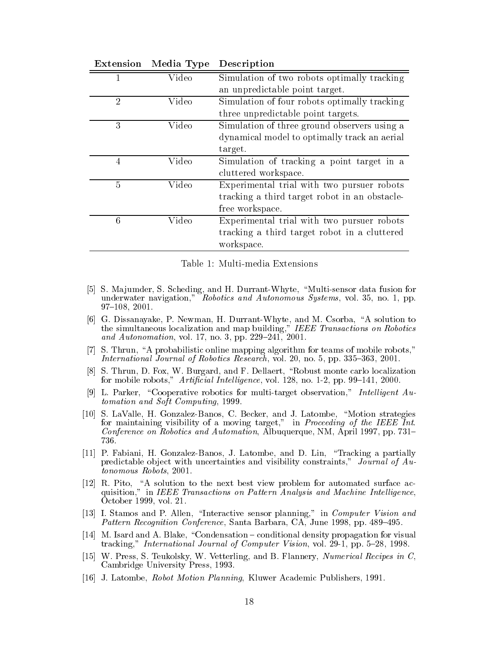|                | Video | Simulation of two robots optimally tracking   |
|----------------|-------|-----------------------------------------------|
|                |       | an unpredictable point target.                |
| $\overline{2}$ | Video | Simulation of four robots optimally tracking  |
|                |       | three unpredictable point targets.            |
| 3              | Video | Simulation of three ground observers using a  |
|                |       | dynamical model to optimally track an aerial  |
|                |       | target.                                       |
| 4              | Video | Simulation of tracking a point target in a    |
|                |       | cluttered workspace.                          |
| 5              | Video | Experimental trial with two pursuer robots    |
|                |       | tracking a third target robot in an obstacle- |
|                |       | free workspace.                               |
| 6              | Video | Experimental trial with two pursuer robots    |
|                |       | tracking a third target robot in a cluttered  |
|                |       | workspace.                                    |

Extension Media Type Description

Table 1: Multi-media Extensions

- [5] S. Majumder, S. Scheding, and H. Durrant-Whyte, "Multi-sensor data fusion for underwater navigation," Robotics and Autonomous Systems, vol. 35, no. 1, pp. 97-108, 2001.
- [6] G. Dissanayake, P. Newman, H. Durrant-Whyte, and M. Csorba, \A solution to the simultaneous localization and map building," IEEE Transactions on Robotics and Autonomation, vol. 17, no. 3, pp. 229-241, 2001.
- $[7]$  S. Thrun, "A probabilistic online mapping algorithm for teams of mobile robots," International Journal of Robotics Research, vol. 20, no. 5, pp.  $335{\text -}363$ , 2001.
- [8] S. Thrun, D. Fox, W. Burgard, and F. Dellaert, "Robust monte carlo localization" for mobile robots,"  $Artificial Intelligence$ , vol. 128, no. 1-2, pp. 99-141, 2000.
- [9] L. Parker, "Cooperative robotics for multi-target observation," Intelligent Automation and Soft Computing, 1999.
- [10] S. LaValle, H. Gonzalez-Banos, C. Becker, and J. Latombe, \Motion strategies for maintaining visibility of a moving target," in Proceeding of the IEEE Int. Conference on Robotics and Automation, Albuquerque, NM, April 1997, pp.  $731-$
- [11] P. Fabiani, H. Gonzalez-Banos, J. Latombe, and D. Lin, \Tracking a partially predictable object with uncertainties and visibility constraints," Journal of  $Au$ tonomous Robots, 2001.
- $[12]$  R. Pito, "A solution to the next best view problem for automated surface acquisition," in IEEE Transactions on Pattern Analysis and Machine Intelligence, October 1999, vol. 21.
- [13] I. Stamos and P. Allen, \Interactive sensor planning," in Computer Vision and Pattern Recognition Conference, Santa Barbara, CA, June 1998, pp. 489–495.
- $[14]$  M. Isard and A. Blake, "Condensation  $-$  conditional density propagation for visual tracking," *International Journal of Computer Vision*, vol. 29-1, pp. 5-28, 1998.
- [15] W. Press, S. Teukolsky, W. Vetterling, and B. Flannery, Numerical Recipes in C, Cambridge University Press, 1993.
- [16] J. Latombe, Robot Motion Planning, Kluwer Academic Publishers, 1991.